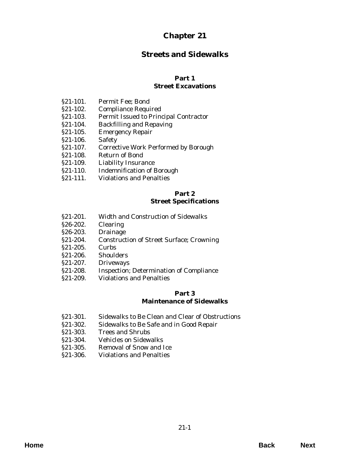# **Chapter 21**

# **Streets and Sidewalks**

# **Part 1**

# **Street Excavations**

- §21-101. Permit Fee; Bond
- §21-102. Compliance Required
- [§21-103. Permit Issued to Principal Contractor](#page-2-0)
- §21-104. Backfilling and Repaving
- §21-105. Emergency Repair
- §21-106. Safety
- [§21-107. Corrective Work Performed by Borough](#page-3-0)
- §21-108. Return of Bond
- §21-109. Liability Insurance
- [§21-110. Indemnification of Borough](#page-4-0)
- §21-111. Violations and Penalties

# **Part 2 Street Specifications**

- §21-201. Width and Construction of Sidewalks
- §26-202. Clearing
- §26-203. Drainage
- [§21-204. Construction of Street Surface; Crowning](#page-6-0)
- §21-205. Curbs
- §21-206. Shoulders
- §21-207. Driveways
- [§21-208. Inspection; Determination of Compliance](#page-7-0)
- §21-209. Violations and Penalties

### **Part 3 Maintenance of Sidewalks**

- [§21-301. Sidewalks to Be Clean and Clear of Obstructions](#page-8-0)
- §21-302. Sidewalks to Be Safe and in Good Repair
- §21-303. Trees and Shrubs
- §21-304. Vehicles on Sidewalks
- §21-305. Removal of Snow and Ice
- [§21-306. Violations and Penalties](#page-9-0)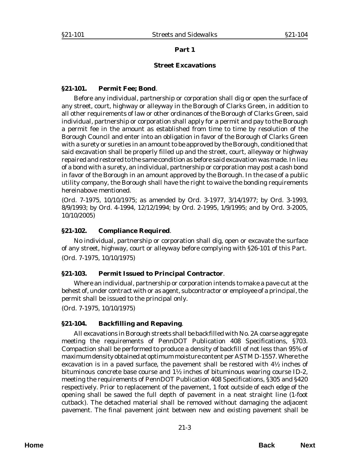## **Part 1**

### **Street Excavations**

#### <span id="page-2-0"></span>**§21-101. Permit Fee; Bond**.

Before any individual, partnership or corporation shall dig or open the surface of any street, court, highway or alleyway in the Borough of Clarks Green, in addition to all other requirements of law or other ordinances of the Borough of Clarks Green, said individual, partnership or corporation shall apply for a permit and pay to the Borough a permit fee in the amount as established from time to time by resolution of the Borough Council and enter into an obligation in favor of the Borough of Clarks Green with a surety or sureties in an amount to be approved by the Borough, conditioned that said excavation shall be properly filled up and the street, court, alleyway or highway repaired and restored to the same condition as before said excavation was made. In lieu of a bond with a surety, an individual, partnership or corporation may post a cash bond in favor of the Borough in an amount approved by the Borough. In the case of a public utility company, the Borough shall have the right to waive the bonding requirements hereinabove mentioned.

(*Ord. 7-1975*, 10/10/1975; as amended by *Ord. 3-1977*, 3/14/1977; by *Ord. 3-1993*, 8/9/1993; by *Ord. 4-1994*, 12/12/1994; by *Ord. 2-1995*, 1/9/1995; and by *Ord. 3-2005*, 10/10/2005)

# **§21-102. Compliance Required**.

No individual, partnership or corporation shall dig, open or excavate the surface of any street, highway, court or alleyway before complying with §26-101 of this Part. (*Ord. 7-1975*, 10/10/1975)

# **§21-103. Permit Issued to Principal Contractor**.

Where an individual, partnership or corporation intends to make a pave cut at the behest of, under contract with or as agent, subcontractor or employee of a principal, the permit shall be issued to the principal only.

(*Ord. 7-1975*, 10/10/1975)

# **§21-104. Backfilling and Repaving**.

All excavations in Borough streets shall be backfilled with No. 2A coarse aggregate meeting the requirements of PennDOT Publication 408 Specifications, §703. Compaction shall be performed to produce a density of backfill of not less than 95% of maximum density obtained at optimum moisture content per ASTM D-1557. Where the excavation is in a paved surface, the pavement shall be restored with 4½ inches of bituminous concrete base course and  $1\frac{1}{2}$  inches of bituminous wearing course ID-2, meeting the requirements of PennDOT Publication 408 Specifications, §305 and §420 respectively. Prior to replacement of the pavement, 1 foot outside of each edge of the opening shall be sawed the full depth of pavement in a neat straight line (1-foot cutback). The detached material shall be removed without damaging the adjacent pavement. The final pavement joint between new and existing pavement shall be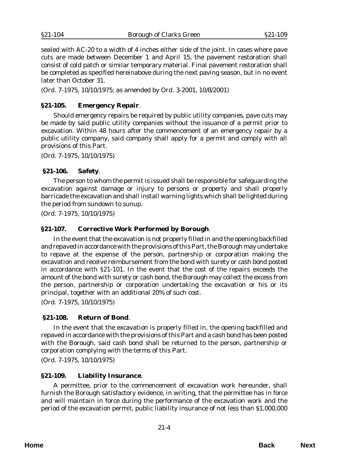<span id="page-3-0"></span>sealed with AC-20 to a width of 4 inches either side of the joint. In cases where pave cuts are made between December 1 and April 15, the pavement restoration shall consist of cold patch or similar temporary material. Final pavement restoration shall be completed as specified hereinabove during the next paving season, but in no event later than October 31.

(*Ord. 7-1975*, 10/10/1975; as amended by *Ord. 3-2001*, 10/8/2001)

## **§21-105. Emergency Repair**.

Should emergency repairs be required by public utility companies, pave cuts may be made by said public utility companies without the issuance of a permit prior to excavation. Within 48 hours after the commencement of an emergency repair by a public utility company, said company shall apply for a permit and comply with all provisions of this Part.

(*Ord. 7-1975*, 10/10/1975)

#### **§21-106. Safety**.

The person to whom the permit is issued shall be responsible for safeguarding the excavation against damage or injury to persons or property and shall properly barricade the excavation and shall install warning lights which shall be lighted during the period from sundown to sunup.

(*Ord. 7-1975*, 10/10/1975)

#### **§21-107. Corrective Work Performed by Borough**.

In the event that the excavation is not properly filled in and the opening backfilled and repaved in accordance with the provisions of this Part, the Borough may undertake to repave at the expense of the person, partnership or corporation making the excavation and receive reimbursement from the bond with surety or cash bond posted in accordance with §21-101. In the event that the cost of the repairs exceeds the amount of the bond with surety or cash bond, the Borough may collect the excess from the person, partnership or corporation undertaking the excavation or his or its principal, together with an additional 20% of such cost.

(*Ord. 7-1975*, 10/10/1975)

#### **§21-108. Return of Bond**.

In the event that the excavation is properly filled in, the opening backfilled and repaved in accordance with the provisions of this Part and a cash bond has been posted with the Borough, said cash bond shall be returned to the person, partnership or corporation complying with the terms of this Part.

(*Ord. 7-1975*, 10/10/1975)

#### **§21-109. Liability Insurance**.

A permittee, prior to the commencement of excavation work hereunder, shall furnish the Borough satisfactory evidence, in writing, that the permittee has in force and will maintain in force during the performance of the excavation work and the period of the excavation permit, public liability insurance of not less than \$1,000,000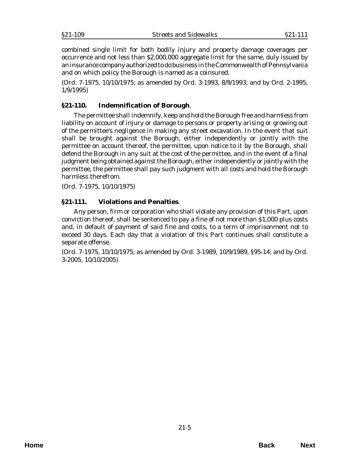<span id="page-4-0"></span>combined single limit for both bodily injury and property damage coverages per occurrence and not less than \$2,000,000 aggregate limit for the same, duly issued by an insurance company authorized to do business in the Commonwealth of Pennsylvania and on which policy the Borough is named as a coinsured.

(*Ord. 7-1975*, 10/10/1975; as amended by *Ord. 3-1993*, 8/9/1993; and by Ord. *2-1995*, 1/9/1995)

# **§21-110. Indemnification of Borough**.

The permittee shall indemnify, keep and hold the Borough free and harmless from liability on account of injury or damage to persons or property arising or growing out of the permittee's negligence in making any street excavation. In the event that suit shall be brought against the Borough, either independently or jointly with the permittee on account thereof, the permittee, upon notice to it by the Borough, shall defend the Borough in any suit at the cost of the permittee, and in the event of a final judgment being obtained against the Borough, either independently or jointly with the permittee, the permittee shall pay such judgment with all costs and hold the Borough harmless therefrom.

(*Ord. 7-1975*, 10/10/1975)

# **§21-111. Violations and Penalties**.

Any person, firm or corporation who shall violate any provision of this Part, upon conviction thereof, shall be sentenced to pay a fine of not more than \$1,000 plus costs and, in default of payment of said fine and costs, to a term of imprisonment not to exceed 30 days. Each day that a violation of this Part continues shall constitute a separate offense.

(*Ord. 7-1975*, 10/10/1975; as amended by *Ord. 3-1989*, 10/9/1989, §95-14; and by *Ord. 3-2005*, 10/10/2005)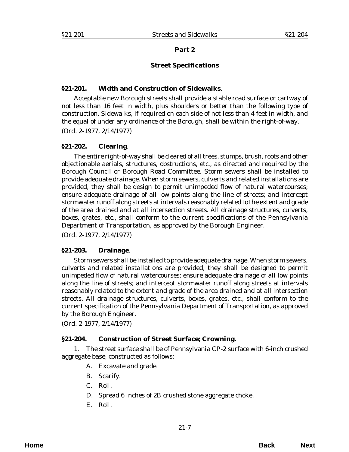### **Part 2**

### **Street Specifications**

### <span id="page-6-0"></span>**§21-201. Width and Construction of Sidewalks**.

Acceptable new Borough streets shall provide a stable road surface or cartway of not less than 16 feet in width, plus shoulders or better than the following type of construction. Sidewalks, if required on each side of not less than 4 feet in width, and the equal of under any ordinance of the Borough, shall be within the right-of-way. (*Ord. 2-1977*, 2/14/1977)

## **§21-202. Clearing**.

The entire right-of-way shall be cleared of all trees, stumps, brush, roots and other objectionable aerials, structures, obstructions, etc., as directed and required by the Borough Council or Borough Road Committee. Storm sewers shall be installed to provide adequate drainage. When storm sewers, culverts and related installations are provided, they shall be design to permit unimpeded flow of natural watercourses; ensure adequate drainage of all low points along the line of streets; and intercept stormwater runoff along streets at intervals reasonably related to the extent and grade of the area drained and at all intersection streets. All drainage structures, culverts, boxes, grates, etc., shall conform to the current specifications of the Pennsylvania Department of Transportation, as approved by the Borough Engineer.

(*Ord. 2-1977*, 2/14/1977)

#### **§21-203. Drainage**.

Storm sewers shall be installed to provide adequate drainage. When storm sewers, culverts and related installations are provided, they shall be designed to permit unimpeded flow of natural watercourses; ensure adequate drainage of all low points along the line of streets; and intercept stormwater runoff along streets at intervals reasonably related to the extent and grade of the area drained and at all intersection streets. All drainage structures, culverts, boxes, grates, etc., shall conform to the current specification of the Pennsylvania Department of Transportation, as approved by the Borough Engineer.

(*Ord. 2-1977*, 2/14/1977)

# **§21-204. Construction of Street Surface; Crowning.**

1. The street surface shall be of Pennsylvania CP-2 surface with 6-inch crushed aggregate base, constructed as follows:

- A. Excavate and grade.
- B. Scarify.
- C. Roll.
- D. Spread 6 inches of 2B crushed stone aggregate choke.
- E. Roll.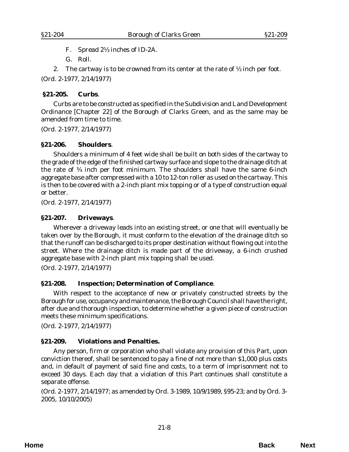<span id="page-7-0"></span>F. Spread 2½ inches of ID-2A.

G. Roll.

2. The cartway is to be crowned from its center at the rate of  $\frac{1}{2}$  inch per foot.

(*Ord. 2-1977*, 2/14/1977)

# **§21-205. Curbs**.

Curbs are to be constructed as specified in the Subdivision and Land Development Ordinance [Chapter 22] of the Borough of Clarks Green, and as the same may be amended from time to time.

(*Ord. 2-1977*, 2/14/1977)

# **§21-206. Shoulders**.

Shoulders a minimum of 4 feet wide shall be built on both sides of the cartway to the grade of the edge of the finished cartway surface and slope to the drainage ditch at the rate of ¾ inch per foot minimum. The shoulders shall have the same 6-inch aggregate base after compressed with a 10 to 12-ton roller as used on the cartway. This is then to be covered with a 2-inch plant mix topping or of a type of construction equal or better.

(*Ord. 2-1977*, 2/14/1977)

# **§21-207. Driveways**.

Wherever a driveway leads into an existing street, or one that will eventually be taken over by the Borough, it must conform to the elevation of the drainage ditch so that the runoff can be discharged to its proper destination without flowing out into the street. Where the drainage ditch is made part of the driveway, a 6-inch crushed aggregate base with 2-inch plant mix topping shall be used.

(*Ord. 2-1977*, 2/14/1977)

# **§21-208. Inspection; Determination of Compliance**.

With respect to the acceptance of new or privately constructed streets by the Borough for use, occupancy and maintenance, the Borough Council shall have the right, after due and thorough inspection, to determine whether a given piece of construction meets these minimum specifications.

(*Ord. 2-1977*, 2/14/1977)

# **§21-209. Violations and Penalties.**

Any person, firm or corporation who shall violate any provision of this Part, upon conviction thereof, shall be sentenced to pay a fine of not more than \$1,000 plus costs and, in default of payment of said fine and costs, to a term of imprisonment not to exceed 30 days. Each day that a violation of this Part continues shall constitute a separate offense.

(*Ord. 2-1977*, 2/14/1977; as amended by *Ord. 3-1989*, 10/9/1989, §95-23; and by *Ord. 3- 2005*, 10/10/2005)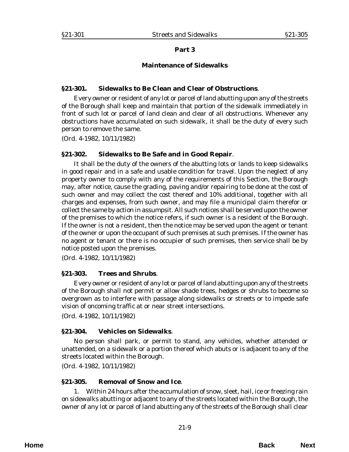### **Part 3**

### **Maintenance of Sidewalks**

### <span id="page-8-0"></span>**§21-301. Sidewalks to Be Clean and Clear of Obstructions**.

Every owner or resident of any lot or parcel of land abutting upon any of the streets of the Borough shall keep and maintain that portion of the sidewalk immediately in front of such lot or parcel of land clean and clear of all obstructions. Whenever any obstructions have accumulated on such sidewalk, it shall be the duty of every such person to remove the same.

(*Ord. 4-1982*, 10/11/1982)

### **§21-302. Sidewalks to Be Safe and in Good Repair**.

It shall be the duty of the owners of the abutting lots or lands to keep sidewalks in good repair and in a safe and usable condition for travel. Upon the neglect of any property owner to comply with any of the requirements of this Section, the Borough may, after notice, cause the grading, paving and/or repairing to be done at the cost of such owner and may collect the cost thereof and 10% additional, together with all charges and expenses, from such owner, and may file a municipal claim therefor or collect the same by action in assumpsit. All such notices shall be served upon the owner of the premises to which the notice refers, if such owner is a resident of the Borough. If the owner is not a resident, then the notice may be served upon the agent or tenant of the owner or upon the occupant of such premises at such premises. If the owner has no agent or tenant or there is no occupier of such premises, then service shall be by notice posted upon the premises.

(*Ord. 4-1982*, 10/11/1982)

# **§21-303. Trees and Shrubs**.

Every owner or resident of any lot or parcel of land abutting upon any of the streets of the Borough shall not permit or allow shade trees, hedges or shrubs to become so overgrown as to interfere with passage along sidewalks or streets or to impede safe vision of oncoming traffic at or near street intersections.

(*Ord. 4-1982*, 10/11/1982)

# **§21-304. Vehicles on Sidewalks**.

No person shall park, or permit to stand, any vehicles, whether attended or unattended, on a sidewalk or a portion thereof which abuts or is adjacent to any of the streets located within the Borough.

(*Ord. 4-1982*, 10/11/1982)

#### **§21-305. Removal of Snow and Ice**.

1. Within 24 hours after the accumulation of snow, sleet, hail, ice or freezing rain on sidewalks abutting or adjacent to any of the streets located within the Borough, the owner of any lot or parcel of land abutting any of the streets of the Borough shall clear